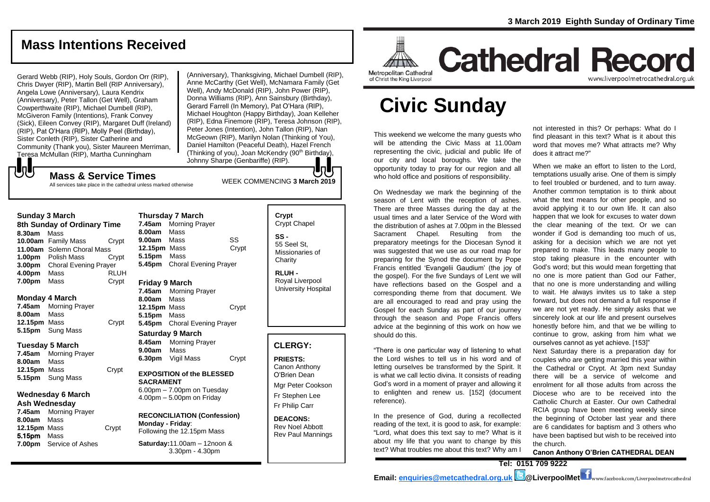# **Mass Intentions Received**

Gerard Webb (RIP), Holy Souls, Gordon Orr (RIP), Chris Dwyer (RIP), Martin Bell (RIP Anniversary), Angela Lowe (Anniversary), Laura Kendrix (Anniversary), Peter Tallon (Get Well), Graham Cowperthwaite (RIP), Michael Dumbell (RIP), McGiveron Family (Intentions), Frank Convey (Sick), Eileen Convey (RIP), Margaret Duff (Ireland) (RIP), Pat O'Hara (RIP), Molly Peel (Birthday), Sister Conleth (RIP), Sister Catherine and Community (Thank you), Sister Maureen Merriman, Teresa McMullan (RIP), Martha Cunningham

(Anniversary), Thanksgiving, Michael Dumbell (RIP), Anne McCarthy (Get Well), McNamara Family (Get Well), Andy McDonald (RIP), John Power (RIP), Donna Williams (RIP), Ann Sainsbury (Birthday), Gerard Farrell (In Memory), Pat O'Hara (RIP), Michael Houghton (Happy Birthday), Joan Kelleher (RIP), Edna Finemore (RIP), Teresa Johnson (RIP), Peter Jones (Intention), John Tallon (RIP), Nan McGeown (RIP), Marilyn Nolan (Thinking of You), Daniel Hamilton (Peaceful Death), Hazel French (Thinking of you), Joan McKendry (90<sup>th</sup> Birthday), Johnny Sharpe (Genbariffe) (RIP).

# もし

WEEK COMMENCING **3 March <sup>2019</sup> Mass & Service Times** All services take place in the cathedral unless marked otherwise

### **Sunday 3 March**

**8th Sunday of Ordinary Time 8.30am** Mass **10.00am** Family Mass Crypt **11.00am** Solemn Choral Mass **1.00pm** Polish Mass Crypt **3.00pm** Choral Evening Prayer **4.00pm** Mass RLUH **7.00pm** Mass Crypt

### **Monday 4 March**

**7.45am** Morning Prayer **8.00am** Mass **12.15pm** Mass Crypt **5.15pm** Sung Mass

### **Tuesday 5 March**

**7.45am** Morning Prayer **8.00am** Mass **12.15pm** Mass Crypt **5.15pm** Sung Mass

### **Wednesday 6 March**

**Ash Wednesday 7.45am** Morning Prayer **8.00am** Mass **12.15pm** Mass Crypt 5.15pm Mass **7.00pm** Service of Ashes

### **Thursday 7 March 7.45am** Morning Prayer **8.00am** Mass **9.00am** Mass SS **12.15pm** Mass Crypt **5.15pm** Mass

**5.45pm** Choral Evening Prayer

### **Friday 9 March**

**7.45am** Morning Prayer **8.00am** Mass **12.15pm** Mass Crypt **5.15pm** Mass **5.45pm** Choral Evening Prayer

### **Saturday 9 March**

**8.45am** Morning Prayer **9.00am** Mass **6.30pm** Vigil Mass Crypt

### **EXPOSITION of the BLESSED SACRAMENT** 6.00pm – 7.00pm on Tuesday 4.00pm – 5.00pm on Friday

**RECONCILIATION (Confession) Monday - Friday**: Following the 12.15pm Mass

**Saturday:**11.00am – 12noon & 3.30pm - 4.30pm

### **Crypt**  Crypt Chapel **SS -** 55 Seel St, Missionaries of **Charity**

**RLUH -** Royal Liverpool University Hospital

### **CLERGY:**

**PRIESTS:** Canon Anthony O'Brien *Dean*

Mgr Peter Cookson Fr Stephen Lee Fr Philip Carr

**DEACONS:** Rev Noel Abbott Rev Paul Mannings



# **Cathedral Record** www.liverpoolmetrocathedral.org.uk

of Christ the King Liverpool

# **Civic Sunday**

This weekend we welcome the many guests who will be attending the Civic Mass at 11.00am representing the civic, judicial and public life of our city and local boroughs. We take the opportunity today to pray for our region and all who hold office and positions of responsibility.

On Wednesday we mark the beginning of the season of Lent with the reception of ashes. There are three Masses during the day at the usual times and a later Service of the Word with the distribution of ashes at 7.00pm in the Blessed Sacrament Chapel. Resulting from the preparatory meetings for the Diocesan Synod it was suggested that we use as our road map for preparing for the Synod the document by Pope Francis entitled 'Evangelii Gaudium' (the joy of the gospel). For the five Sundays of Lent we will have reflections based on the Gospel and a corresponding theme from that document. We are all encouraged to read and pray using the Gospel for each Sunday as part of our journey through the season and Pope Francis offers advice at the beginning of this work on how we should do this.

"There is one particular way of listening to what the Lord wishes to tell us in his word and of letting ourselves be transformed by the Spirit. It is what we call *lectio divina*. It consists of reading God's word in a moment of prayer and allowing it to enlighten and renew us. [152] (document reference).

In the presence of God, during a recollected reading of the text, it is good to ask, for example: "Lord, what does this text say *to me*? What is it about my life that you want to change by this text? What troubles me about this text? Why am I

not interested in this? Or perhaps: What do I find pleasant in this text? What is it about this word that moves me? What attracts me? Why does it attract me?"

When we make an effort to listen to the Lord, temptations usually arise. One of them is simply to feel troubled or burdened, and to turn away. Another common temptation is to think about what the text means for other people, and so avoid applying it to our own life. It can also happen that we look for excuses to water down the clear meaning of the text. Or we can wonder if God is demanding too much of us, asking for a decision which we are not yet prepared to make. This leads many people to stop taking pleasure in the encounter with God's word; but this would mean forgetting that no one is more patient than God our Father, that no one is more understanding and willing to wait. He always invites us to take a step forward, but does not demand a full response if we are not yet ready. He simply asks that we sincerely look at our life and present ourselves honestly before him, and that we be willing to continue to grow, asking from him what we ourselves cannot as yet achieve. [153]"

Next Saturday there is a preparation day for couples who are getting married this year within the Cathedral or Crypt. At 3pm next Sunday there will be a service of welcome and enrolment for all those adults from across the Diocese who are to be received into the Catholic Church at Easter. Our own Cathedral RCIA group have been meeting weekly since the beginning of October last year and there are 6 candidates for baptism and 3 others who have been baptised but wish to be received into the church.

**Canon Anthony O'Brien CATHEDRAL DEAN**

**Tel: 0151 709 9222**